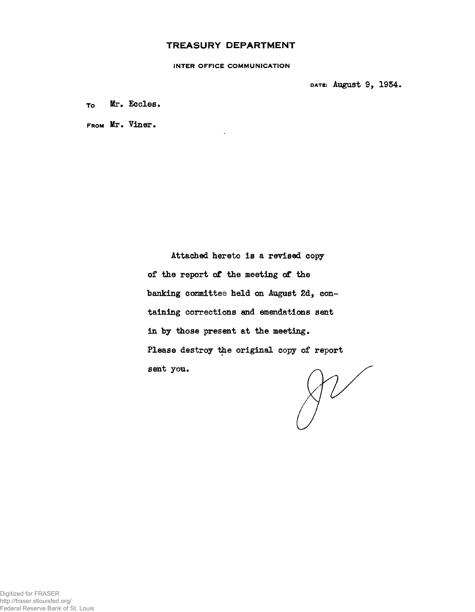### **TREASURY DEPARTMENT**

**INTER OFFICE COMMUNICATION**

**DATE: August 9, 1954.**

**To Mr. Eccles.**

**FROM Mr. Viner.**

**Attached hereto is a revised copy of the report of the meeting of the banking committee held on August 2d, containing corrections and emendations sent in by those present at the meeting. Please destroy the original copy of report sent you.**

 $\gamma\nu$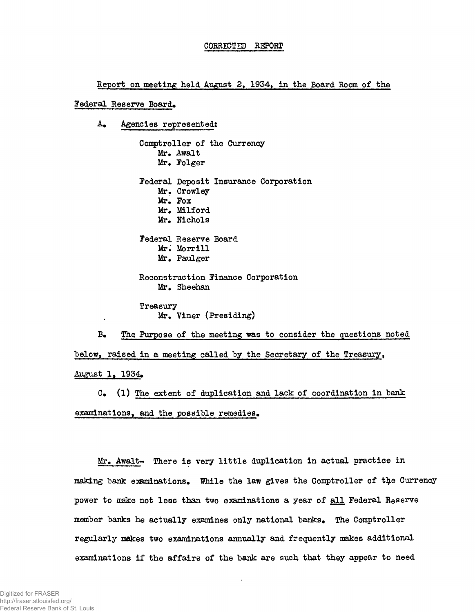### CORRECTED REPORT

Report on meeting held August 2, 1934, in the Board Room of the

#### Federal Reserve Board.

A. Agencies represented:

Comptroller of the Currency Mr. Await Mr. Folger Federal Deposit Insurance Corporation Mr. Crowley Mr, Fox Mr. Milford Mr. Nichols Federal Reserve Board Mr. Morrill Mr. Paulger Reconstruction Finance Corporation Mr. Sheehan Treasury Mr. Viner (Presiding)

B» The Purpose of the meeting was to consider the questions noted below, raised in a meeting called by the Secretary of the Treasury, August 1, 1934.

C» (1) The extent of duplication and lack of coordination in bank examinations, and the possible remedies.

Mr. Awalt- There is very little duplication in actual practice in making bank examinations. While the law gives the Comptroller of the Currency power to make not less than two examinations a year of all Federal Reserve member banks he actually examines only national banks. The Comptroller regularly makes two examinations annually and frequently makes additional examinations if the affairs of the bank are such that they appear to need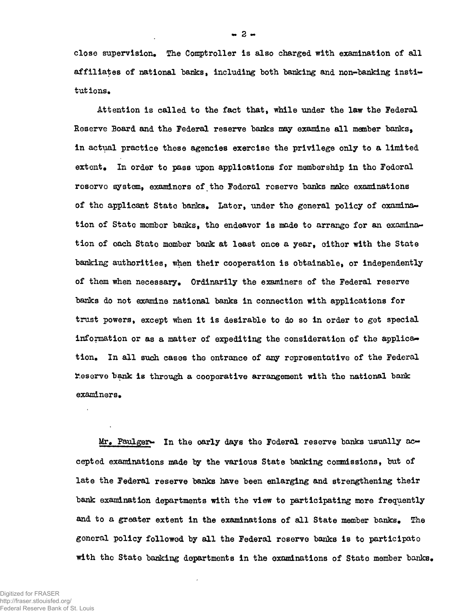**close supervision. The Comptroller is also charged with examination of all** affiliates of national banks, including both banking and non-banking institutions.

**Attention is called to the fact thatf while under the law the Federal Reserve Board and the Federal reserve banks may examine all member banks, in actual practice these agencies exercise the privilege only to a limited extent. In order to pass upon applications for membership in tho Federal reserve system, examiners of.tho Federal reserve banks make examinations of the applicant State banks. Later, under the general policy of oxamina^ tion of State member banks, tho endeavor is made to arrange for an examination of each Stato member bank at least once a year, cither with the State banking authorities, when their cooperation is obtainable, or independently of them when necessary. Ordinarily the examiners of the Federal reserve banks do not examine national banks in connection with applications for trust powers, except when it is desirable to do so in order to get special information or as a matter of expediting the consideration of the applies^ tion. In all such cases the entrance of any representative of the Federal Reserve bank is through a cooperative arrangement with the national bank examiners.**

**Mr. Faulger\*\* In the oarly days tho Federal reserve banks usually ac~ cepted examinations made by the various State banking commissions, but of late the Federal reserve banks have been enlarging and strengthening their bank examination departments with the view to participating more frequently** and to a greater extent in the examinations of all State member banks. The **general policy followed by all the Federal reserve banks is to participate** with the State banking departments in the examinations of State member banks.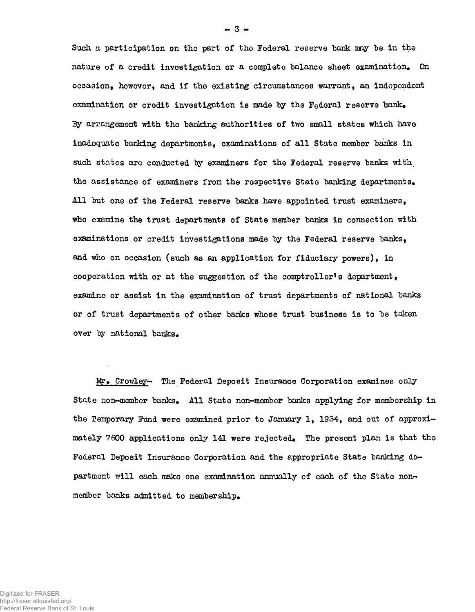Such a participation on tho part of the Federal reserve bank may be in the nature of a credit investigation or a complete balance sheet examination. On occasion, howevor, and if the existing circumstances warrant, an independent examination or credit investigation is made by the Federal reserve  $bank_{\bullet}$ By arrangement with the banking authorities of two small states which have inadequate banking departments, examinations of all State member banks in such states are conducted by examiners for the Federal reserve banks with the assistance of examiners from the respective State banking departments. All but one of the Federal reserve banks have appointed trust examiners, who examine the trust departments of State member banks in connection with examinations or credit investigations made by the Federal reserve banks, and who on occasion (such as an application for fiduciary powers), in cooperation with or at the suggestion of the comptroller's department, examine or assist in the examination of trust departments of national banks or of trust departments of other banks whose trust business is to be taken over by national banks.

Mr. Crowley- The Federal Deposit Insurance Corporation examines only State non-member banks. All State non-member banks applying for membership in the Temporary Fund were examined prior to January 1, 1934, and out of approximately 7600 applications only 141 were rejected. The present plan is that the Federal Deposit Insurance Corporation and the appropriate State banking department will each make one examination annually of each of the State nonmember banks admitted to membership.

 $- 3 -$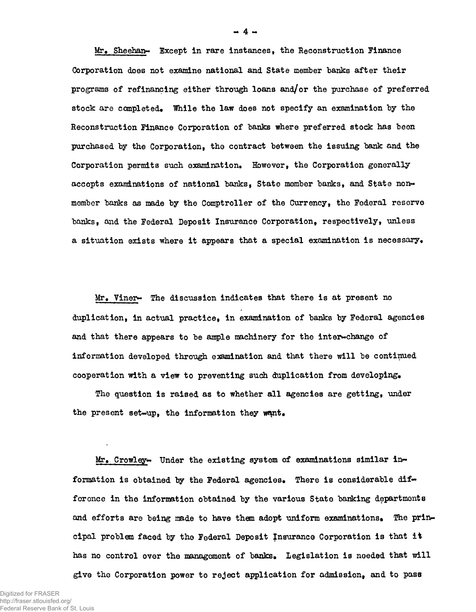**Mr.. Sheehan- Except in rare instances, the Reconstruction finance Corporation does not examine national and State member banks after their programs of refinancing either through loans and/or the purchase of preferred stock are completed. While the law does not specify an examination by the Reconstruction Finance Corporation of banks where preferred stock has been purchased by the Corporation, the contract between the issuing bank and the Corporation permits such examination\* However, the Corporation generally accepts examinations of national banks, State member banks, and State nonmember barks as made by the Comptroller of the Currency, the Federal reserve banks, and the Federal Deposit Insurance Corporation, respectively, unless a situation exists where it appears that a special examination is necessary\***

Mr. Viner- The discussion indicates that there is at present no **duplication, in actual practice, in examination of banks by Federal agencies** and that there appears to be ample machinery for the inter-change of **information developed through examination and that there will be continued cooperation with a view to preventing such duplication from developing\***

**The question is raised as to whether all agencies are getting, under the present set-up, the information they w^nt.**

**Mr. Crowley- Under the existing system of examinations similar information is obtained by the Federal agencies. There is considerable difference in the information obtained by the various State banking departments and efforts are being made to have them adopt uniform examinations. The priiw cipal problem faced by the Federal Deposit Insurance Corporation is that it has no control over the management of banks. Legislation is needed that will give the Corporation power to reject application for admission, and to pass**

**- 4 -**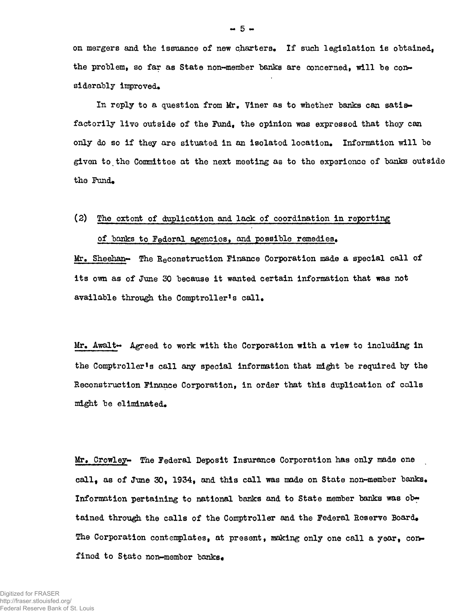on mergers and the issuance of new charters. If such legislation is obtained, the problem, so far as State non-member banks are concerned, will be considerably improved.

In reply to a question from Mr. Viner as to whether banks can satisfactorily live outside of the Fund, the opinion was expressed that they can only do so if they are situated in an isolated location. Information will be given to the Committee at the next meeting as to the experience of banks outside the Fund.

### (2) The extent of duplication and lack of coordination in reporting of banks to Federal agencies, and possible remedies.

Mr. Sheehan- The Reconstruction Finance Corporation made a special call of its own as of June 30 because it wanted certain information that was not available through the Comptroller's call.

Mr. Awalt $\leftrightarrow$  Agreed to work with the Corporation with a view to including in the Comptroller's call any special information that might be required by the Reconstruction Finance Corporation, in order that this duplication of calls might be eliminated.

Mr. Crowley- The Federal Deposit Insurance Corporation has only made one call, as of June 30, 1934, and this call was made on State non-member banks. Information pertaining to national banks and to State member banks was obtained through the calls of the Comptroller and the Federal Reserve Board. The Corporation contemplates, at present, making only one call a year, confined to State non-member banks.

 $-5 -$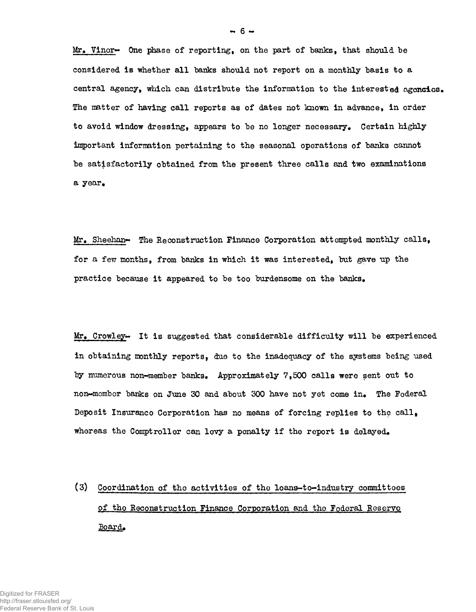Mr. Vinor~ One phase of reporting, on the part of banks, that should be considered is whether all banks should not report on a monthly basis to a central agency, which can distribute the information to the interested agoncies. The matter of having call reports as of dates not known in advance, in order to avoid window dressing, appears to be no longer necessary. Certain highly important information pertaining to the seasonal operations of banks cannot be satisfactorily obtained from the present three calls and two examinations a year.

 $Mr.$  Sheehan- The Reconstruction Finance Corporation attempted monthly calls, for a few months, from banks in which it was interested, but gave up the practice because it appeared to be too burdensome on the banks.

 $Mr_{\bullet}$  Crowley- It is suggested that considerable difficulty will be experienced in obtaining monthly reports, due to the inadequacy of the systems being used by numerous non-member banks. Approximately 7,500 calls were sent out to non~mombor batiks on June 30 and about 300 have not yet come in. The Federal Deposit Insuranco Corporation has no means of forcing replies to the call, whereas the Comptroller can levy a penalty if the report is delayed.

(3) Coordination of the activities of the loans-to-industry committees of the Reconstruction Finance Corporation and the Federal Reserve. Board.

 $-6 -$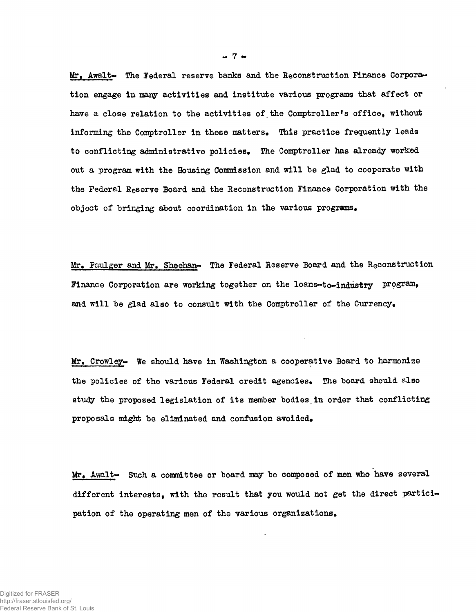Mr. Awalt- The Federal reserve banks and the Reconstruction Finance Corporation engage in many activities and institute various programs that affect or **have a close relation to the activities of.the Comptroller's officef without informing the Comptroller in these matters. This practice frequently leads to conflicting administrative policies. The Comptroller has already worked out a program with the Housing Commission and will be glad to cooperate with the Federal Reserve Board and the Reconstruction Finance Corporation with the object of bringing about coordination in the various programs.**

Mr. Paulger and Mr. Sheehan- The Federal Reserve Board and the Reconstruction Finance Corporation are working together on the loans-to-industry program, **and will be glad also to consult with the Comptroller of the Currency.**

Mr. Crowley- We should have in Washington a cooperative Board to harmonize **the policies of the various Federal credit agencies. The board should also study the proposed legislation of its member bodies.in order that conflicting proposals might be eliminated and confusion avoided.**

Mr. Awalt- Such a committee or board may be composed of men who have several **different interests, with the result that you would not get the direct participation of the operating men of the various organizations.**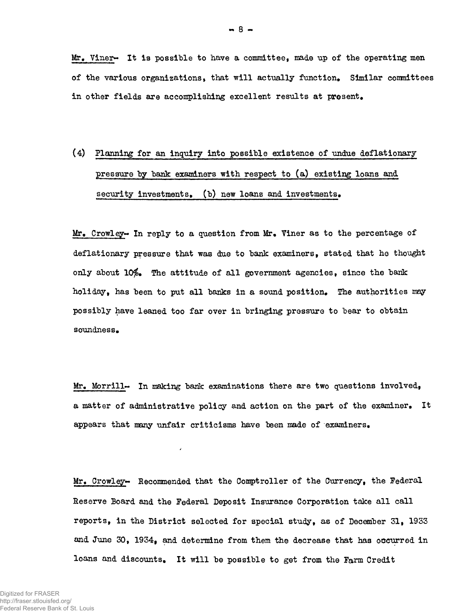Mr, Viner~ It is possible to have a committee, made up of the operating men of the various organizations, that will actually function. Similar committees in other fields are accomplishing excellent results at present.

# (4) Planning for an inquiry into possible existence of undue deflationary pressure by bank examiners with respect to (a) existing loans and security investments. (b) new loans and investments.

Mr, Crowley~ In reply to a question from Mr, Viner as to the percentage of deflationary pressure that was due to bank examiners, stated that he thought only about  $10\%$ . The attitude of all government agencies, since the bank holiday, has been to put all banks in a sound position. The authorities may possibly have leaned too far over in bringing pressure to bear to obtain soundness.

Mr. Morrill $\sim$  In making bank examinations there are two questions involved, a matter of administrative policy and action on the part of the examiner. It appears that many unfair criticisms have been made of examiners.

¥.

Mr. Crowley- Recommended that the Comptroller of the Currency, the Federal Reserve Board and the Federal Deposit Insurance Corporation take all call reports, in the District selected for special study, as of December 31, 1933 and June 30, 1934, and determine from them the decrease that has occurred in loans and discounts. It will be possible to get from the Farm Credit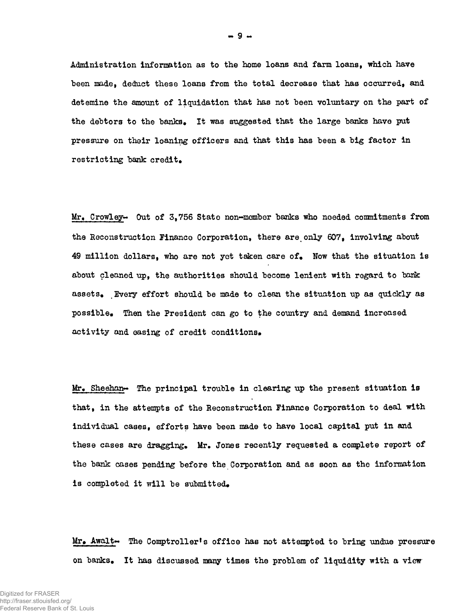**Administration information as to the home loans and farm loans, which have been jmdet deduct these loans from the total decrease that has occurred, and detemine the amount of liquidation that has not been voluntary on the part of** the debtors to the banks. It was suggested that the large banks have put **pressure on their loaning officers and that this has been a big factor in restricting bank credit\***

**Mr+ Crowley\*\* Out of 3,756 State non-member banks who needed commitments from the Reconstruction Finance Corporation, there are only 607t involving about 49 million dollars, who are not yet taken care of\* Now that the situation is about cleaned up, the authorities should become lenient with regard to bank assets\* Every effort should be made to clean the situation up as quickly as possible\* Then the President can go to the country and demand increased** activity and easing of credit conditions.

**Mr» Sheehan\*\* The principal trouble in clearing up the present situation is that, in the attempts of the Reconstruction Finance Corporation to deal with individual cases, efforts have been made to have local capital put in and** these cases are dragging. Mr. Jones recently requested a complete report of **the bank cases pending before the Corporation and as soon as the information** is completed it will be submitted.

Mr. Awalt- The Comptroller's office has not attempted to bring undue pressure **on banks\* It has discussed many times the problem of liquidity with a view**

**•>• 9 -\***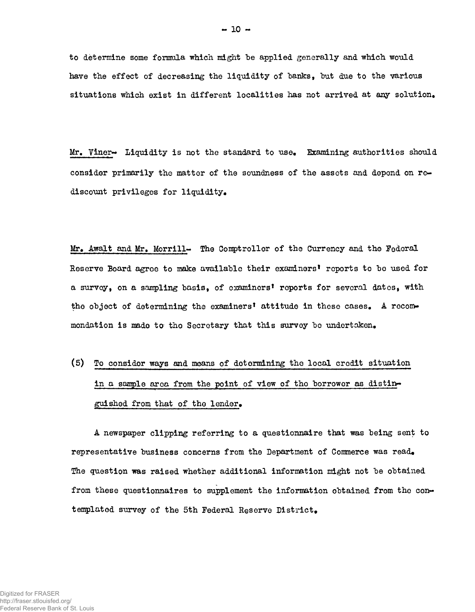to determine some formula which might be applied generally and which would have the effect of decreasing the liquidity of banks, but due to the various situations which exist in different localities has not arrived at any solution.

Mr. Viner $\rightarrow$  Liquidity is not the standard to use. Examining authorities should consider primarily the matter of the soundness of the assets and depend on rediscount privileges for liquidity.

Mr. Awalt and Mr. Morrill- The Comptroller of the Currency and the Federal Reserve Board agree to make available their examiners' reports to be used for a survey, on a sampling basis, of examiners' reports for several dates, with the object of determining the examiners' attitude in these cases. A recommondation is made to the Secretary that this survey be undertaken.

(5) To consider ways and means of determining the local credit situation in a sample area from the point of view of tho borrowor as distinguished from that of the lender.

A newspaper clipping referring to a questionnaire that was being sent to representative business concerns from the Department of Commerce was read. The question was raised whether additional information might not be obtained from these questionnaires to supplement the information obtained from the contemplated survey of the 5th Federal Reserve District.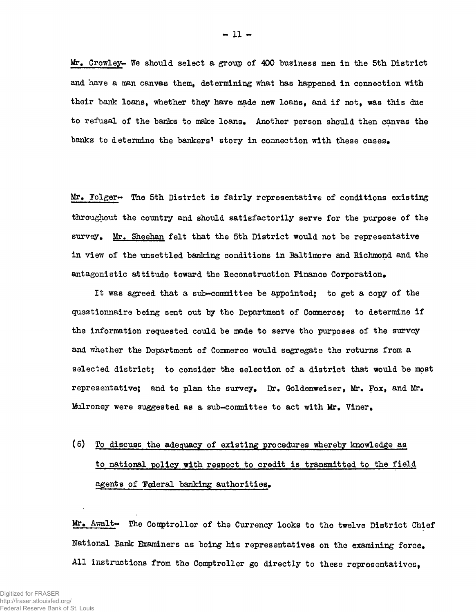Mr. Crowley~ We should select a group of 400 business men in the 5th District and have a man canvas them, determining what has happened in connection with their bank loans, whether they have made new loans, and if not, was this due to refusal of the banks to make loans. Another person should then canvas the banks to determine the bankers' story in connection with these cases.

Mr. Folger~ The 5th District is fairly representative of conditions existing throughout the country and should satisfactorily serve for the purpose of the survey. Mr. Sheehan felt that the 5th District would not be representative in view of the unsettled banking conditions in Baltimore and Richmond and the antagonistic attitude toward the Reconstruction Finance Corporation.

It was agreed that a sub-committee be appointed; to get a copy of the questionnaire being sent out by the Department of Commerce; to determine if the information requested could be made to serve tho purposes of the survey and whether the Department of Commerce would segregate the returns from a selected district; to consider the selection of a district that would be most representative; and to plan the survey. Dr. Goldenweiser, Mr, Fox, and Mr. Mulroney were suggested as a sub-conmittee to act with Mr. Viner.

## (6) To discuss the adequacy of existing procedures whereby knowledge as to national policy with respect to credit is transmitted to the field agents of Tederal banking authorities.

Mr. Awalt~ The Comptroller of the Currency looks to the twelve District Chief National Bank Examiners as being his representatives on the examining force. All instructions from the Comptroller go directly to these representatives,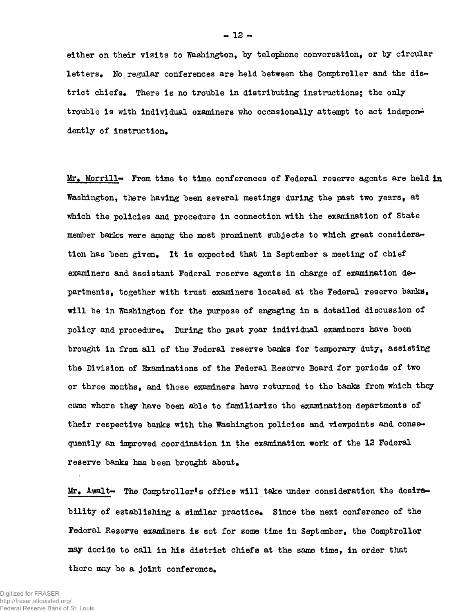either on their visits to Washington, by telephone conversation, or by circular letters. No regular conferences are held between the Comptroller and the district chiefs. There is no trouble in distributing instructions; the only trouble is with individual examiners who occasionally attempt to act independent dently of instruction.

Mr. Morrill- From time to time conferences of Federal reserve agents are held in Washington, there having been several meetings during the past two years, at which the policies and procedure in connection with the examination of State member banks were among the most prominent subjects to which great consideration has been given. It is expected that in September a meeting of chief examiners and assistant Federal reserve agents in charge of examination de~ partments, together with trust examiners located at the Federal reserve banks, will be in Washington for the purpose of engaging in a detailed discussion of policy and procedure. During the past year individual examiners have been brought in from all of the Federal reserve banks for temporary duty, assisting the Division of Examinations of the Federal Reserve Board for periods of two or throe months, and those examiners have returned to tho banks from which they came whore they have been able to familiarize the 'examination departments of their respective banks with the Washington policies and viewpoints and consequently an improved coordination in the examination work of the 12 Federal reserve banks has been brought about.

Mr. Awalt- The Comptroller's office will take under consideration the desirability of establishing a similar practice. Since the next conference of the Federal Reserve examiners is set for some time in September, the Comptroller may decide to call in his district chiefs at the same time, in order that there may be a joint conference.